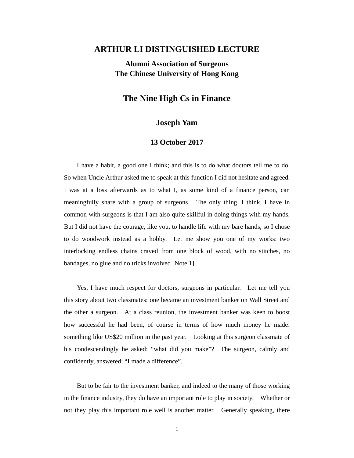## **ARTHUR LI DISTINGUISHED LECTURE**

# **Alumni Association of Surgeons The Chinese University of Hong Kong**

### **The Nine High Cs in Finance**

#### **Joseph Yam**

#### **13 October 2017**

I have a habit, a good one I think; and this is to do what doctors tell me to do. So when Uncle Arthur asked me to speak at this function I did not hesitate and agreed. I was at a loss afterwards as to what I, as some kind of a finance person, can meaningfully share with a group of surgeons. The only thing, I think, I have in common with surgeons is that I am also quite skillful in doing things with my hands. But I did not have the courage, like you, to handle life with my bare hands, so I chose to do woodwork instead as a hobby. Let me show you one of my works: two interlocking endless chains craved from one block of wood, with no stitches, no bandages, no glue and no tricks involved [Note 1].

Yes, I have much respect for doctors, surgeons in particular. Let me tell you this story about two classmates: one became an investment banker on Wall Street and the other a surgeon. At a class reunion, the investment banker was keen to boost how successful he had been, of course in terms of how much money he made: something like US\$20 million in the past year. Looking at this surgeon classmate of his condescendingly he asked: "what did you make"? The surgeon, calmly and confidently, answered: "I made a difference".

But to be fair to the investment banker, and indeed to the many of those working in the finance industry, they do have an important role to play in society. Whether or not they play this important role well is another matter. Generally speaking, there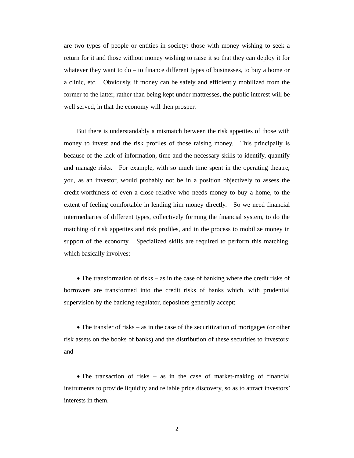are two types of people or entities in society: those with money wishing to seek a return for it and those without money wishing to raise it so that they can deploy it for whatever they want to do – to finance different types of businesses, to buy a home or a clinic, etc. Obviously, if money can be safely and efficiently mobilized from the former to the latter, rather than being kept under mattresses, the public interest will be well served, in that the economy will then prosper.

But there is understandably a mismatch between the risk appetites of those with money to invest and the risk profiles of those raising money. This principally is because of the lack of information, time and the necessary skills to identify, quantify and manage risks. For example, with so much time spent in the operating theatre, you, as an investor, would probably not be in a position objectively to assess the credit-worthiness of even a close relative who needs money to buy a home, to the extent of feeling comfortable in lending him money directly. So we need financial intermediaries of different types, collectively forming the financial system, to do the matching of risk appetites and risk profiles, and in the process to mobilize money in support of the economy. Specialized skills are required to perform this matching, which basically involves:

• The transformation of risks – as in the case of banking where the credit risks of borrowers are transformed into the credit risks of banks which, with prudential supervision by the banking regulator, depositors generally accept;

 The transfer of risks – as in the case of the securitization of mortgages (or other risk assets on the books of banks) and the distribution of these securities to investors; and

• The transaction of risks – as in the case of market-making of financial instruments to provide liquidity and reliable price discovery, so as to attract investors' interests in them.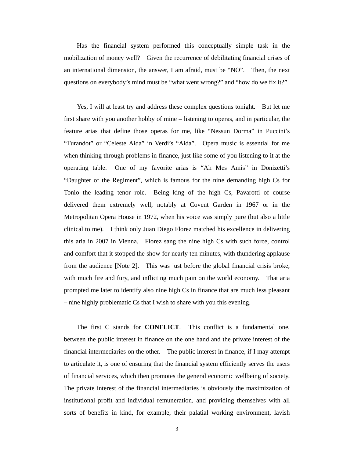Has the financial system performed this conceptually simple task in the mobilization of money well? Given the recurrence of debilitating financial crises of an international dimension, the answer, I am afraid, must be "NO". Then, the next questions on everybody's mind must be "what went wrong?" and "how do we fix it?"

Yes, I will at least try and address these complex questions tonight. But let me first share with you another hobby of mine – listening to operas, and in particular, the feature arias that define those operas for me, like "Nessun Dorma" in Puccini's "Turandot" or "Celeste Aida" in Verdi's "Aida". Opera music is essential for me when thinking through problems in finance, just like some of you listening to it at the operating table. One of my favorite arias is "Ah Mes Amis" in Donizetti's "Daughter of the Regiment", which is famous for the nine demanding high Cs for Tonio the leading tenor role. Being king of the high Cs, Pavarotti of course delivered them extremely well, notably at Covent Garden in 1967 or in the Metropolitan Opera House in 1972, when his voice was simply pure (but also a little clinical to me). I think only Juan Diego Florez matched his excellence in delivering this aria in 2007 in Vienna. Florez sang the nine high Cs with such force, control and comfort that it stopped the show for nearly ten minutes, with thundering applause from the audience [Note 2]. This was just before the global financial crisis broke, with much fire and fury, and inflicting much pain on the world economy. That aria prompted me later to identify also nine high Cs in finance that are much less pleasant – nine highly problematic Cs that I wish to share with you this evening.

The first C stands for **CONFLICT**. This conflict is a fundamental one, between the public interest in finance on the one hand and the private interest of the financial intermediaries on the other. The public interest in finance, if I may attempt to articulate it, is one of ensuring that the financial system efficiently serves the users of financial services, which then promotes the general economic wellbeing of society. The private interest of the financial intermediaries is obviously the maximization of institutional profit and individual remuneration, and providing themselves with all sorts of benefits in kind, for example, their palatial working environment, lavish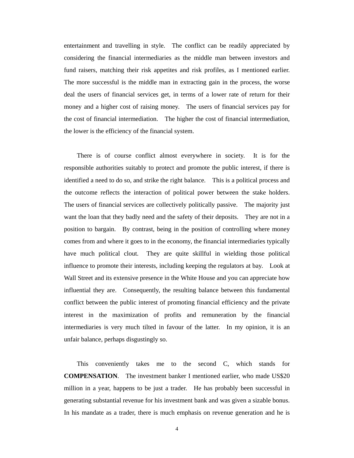entertainment and travelling in style. The conflict can be readily appreciated by considering the financial intermediaries as the middle man between investors and fund raisers, matching their risk appetites and risk profiles, as I mentioned earlier. The more successful is the middle man in extracting gain in the process, the worse deal the users of financial services get, in terms of a lower rate of return for their money and a higher cost of raising money. The users of financial services pay for the cost of financial intermediation. The higher the cost of financial intermediation, the lower is the efficiency of the financial system.

There is of course conflict almost everywhere in society. It is for the responsible authorities suitably to protect and promote the public interest, if there is identified a need to do so, and strike the right balance. This is a political process and the outcome reflects the interaction of political power between the stake holders. The users of financial services are collectively politically passive. The majority just want the loan that they badly need and the safety of their deposits. They are not in a position to bargain. By contrast, being in the position of controlling where money comes from and where it goes to in the economy, the financial intermediaries typically have much political clout. They are quite skillful in wielding those political influence to promote their interests, including keeping the regulators at bay. Look at Wall Street and its extensive presence in the White House and you can appreciate how influential they are. Consequently, the resulting balance between this fundamental conflict between the public interest of promoting financial efficiency and the private interest in the maximization of profits and remuneration by the financial intermediaries is very much tilted in favour of the latter. In my opinion, it is an unfair balance, perhaps disgustingly so.

This conveniently takes me to the second C, which stands for **COMPENSATION**. The investment banker I mentioned earlier, who made US\$20 million in a year, happens to be just a trader. He has probably been successful in generating substantial revenue for his investment bank and was given a sizable bonus. In his mandate as a trader, there is much emphasis on revenue generation and he is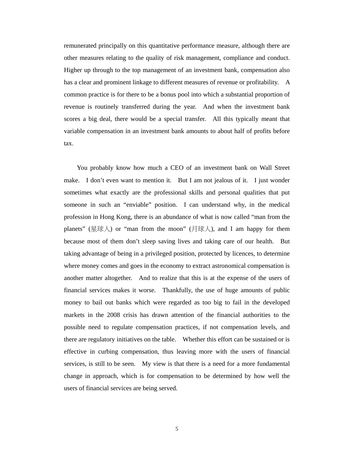remunerated principally on this quantitative performance measure, although there are other measures relating to the quality of risk management, compliance and conduct. Higher up through to the top management of an investment bank, compensation also has a clear and prominent linkage to different measures of revenue or profitability. A common practice is for there to be a bonus pool into which a substantial proportion of revenue is routinely transferred during the year. And when the investment bank scores a big deal, there would be a special transfer. All this typically meant that variable compensation in an investment bank amounts to about half of profits before tax.

You probably know how much a CEO of an investment bank on Wall Street make. I don't even want to mention it. But I am not jealous of it. I just wonder sometimes what exactly are the professional skills and personal qualities that put someone in such an "enviable" position. I can understand why, in the medical profession in Hong Kong, there is an abundance of what is now called "man from the planets" (星球人) or "man from the moon" (月球人), and I am happy for them because most of them don't sleep saving lives and taking care of our health. But taking advantage of being in a privileged position, protected by licences, to determine where money comes and goes in the economy to extract astronomical compensation is another matter altogether. And to realize that this is at the expense of the users of financial services makes it worse. Thankfully, the use of huge amounts of public money to bail out banks which were regarded as too big to fail in the developed markets in the 2008 crisis has drawn attention of the financial authorities to the possible need to regulate compensation practices, if not compensation levels, and there are regulatory initiatives on the table. Whether this effort can be sustained or is effective in curbing compensation, thus leaving more with the users of financial services, is still to be seen. My view is that there is a need for a more fundamental change in approach, which is for compensation to be determined by how well the users of financial services are being served.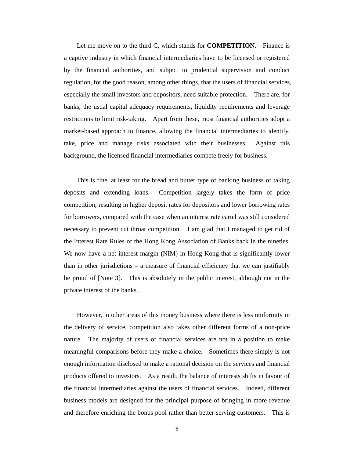Let me move on to the third C, which stands for **COMPETITION**. Finance is a captive industry in which financial intermediaries have to be licensed or registered by the financial authorities, and subject to prudential supervision and conduct regulation, for the good reason, among other things, that the users of financial services, especially the small investors and depositors, need suitable protection. There are, for banks, the usual capital adequacy requirements, liquidity requirements and leverage restrictions to limit risk-taking. Apart from these, most financial authorities adopt a market-based approach to finance, allowing the financial intermediaries to identify, take, price and manage risks associated with their businesses. Against this background, the licensed financial intermediaries compete freely for business.

This is fine, at least for the bread and butter type of banking business of taking deposits and extending loans. Competition largely takes the form of price competition, resulting in higher deposit rates for depositors and lower borrowing rates for borrowers, compared with the case when an interest rate cartel was still considered necessary to prevent cut throat competition. I am glad that I managed to get rid of the Interest Rate Rules of the Hong Kong Association of Banks back in the nineties. We now have a net interest margin (NIM) in Hong Kong that is significantly lower than in other jurisdictions – a measure of financial efficiency that we can justifiably be proud of [Note 3]. This is absolutely in the public interest, although not in the private interest of the banks.

However, in other areas of this money business where there is less uniformity in the delivery of service, competition also takes other different forms of a non-price nature. The majority of users of financial services are not in a position to make meaningful comparisons before they make a choice. Sometimes there simply is not enough information disclosed to make a rational decision on the services and financial products offered to investors. As a result, the balance of interests shifts in favour of the financial intermediaries against the users of financial services. Indeed, different business models are designed for the principal purpose of bringing in more revenue and therefore enriching the bonus pool rather than better serving customers. This is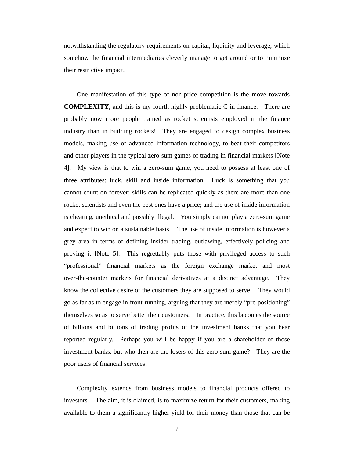notwithstanding the regulatory requirements on capital, liquidity and leverage, which somehow the financial intermediaries cleverly manage to get around or to minimize their restrictive impact.

One manifestation of this type of non-price competition is the move towards **COMPLEXITY**, and this is my fourth highly problematic C in finance. There are probably now more people trained as rocket scientists employed in the finance industry than in building rockets! They are engaged to design complex business models, making use of advanced information technology, to beat their competitors and other players in the typical zero-sum games of trading in financial markets [Note 4]. My view is that to win a zero-sum game, you need to possess at least one of three attributes: luck, skill and inside information. Luck is something that you cannot count on forever; skills can be replicated quickly as there are more than one rocket scientists and even the best ones have a price; and the use of inside information is cheating, unethical and possibly illegal. You simply cannot play a zero-sum game and expect to win on a sustainable basis. The use of inside information is however a grey area in terms of defining insider trading, outlawing, effectively policing and proving it [Note 5]. This regrettably puts those with privileged access to such "professional" financial markets as the foreign exchange market and most over-the-counter markets for financial derivatives at a distinct advantage. They know the collective desire of the customers they are supposed to serve. They would go as far as to engage in front-running, arguing that they are merely "pre-positioning" themselves so as to serve better their customers. In practice, this becomes the source of billions and billions of trading profits of the investment banks that you hear reported regularly. Perhaps you will be happy if you are a shareholder of those investment banks, but who then are the losers of this zero-sum game? They are the poor users of financial services!

Complexity extends from business models to financial products offered to investors. The aim, it is claimed, is to maximize return for their customers, making available to them a significantly higher yield for their money than those that can be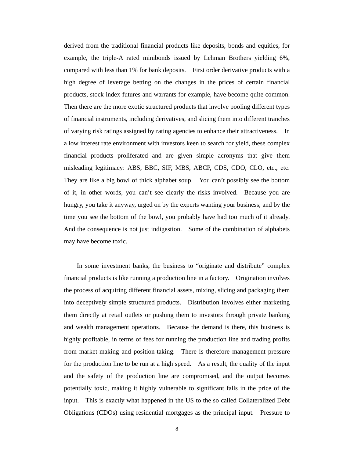derived from the traditional financial products like deposits, bonds and equities, for example, the triple-A rated minibonds issued by Lehman Brothers yielding 6%, compared with less than 1% for bank deposits. First order derivative products with a high degree of leverage betting on the changes in the prices of certain financial products, stock index futures and warrants for example, have become quite common. Then there are the more exotic structured products that involve pooling different types of financial instruments, including derivatives, and slicing them into different tranches of varying risk ratings assigned by rating agencies to enhance their attractiveness. In a low interest rate environment with investors keen to search for yield, these complex financial products proliferated and are given simple acronyms that give them misleading legitimacy: ABS, BBC, SIF, MBS, ABCP, CDS, CDO, CLO, etc., etc. They are like a big bowl of thick alphabet soup. You can't possibly see the bottom of it, in other words, you can't see clearly the risks involved. Because you are hungry, you take it anyway, urged on by the experts wanting your business; and by the time you see the bottom of the bowl, you probably have had too much of it already. And the consequence is not just indigestion. Some of the combination of alphabets may have become toxic.

In some investment banks, the business to "originate and distribute" complex financial products is like running a production line in a factory. Origination involves the process of acquiring different financial assets, mixing, slicing and packaging them into deceptively simple structured products. Distribution involves either marketing them directly at retail outlets or pushing them to investors through private banking and wealth management operations. Because the demand is there, this business is highly profitable, in terms of fees for running the production line and trading profits from market-making and position-taking. There is therefore management pressure for the production line to be run at a high speed. As a result, the quality of the input and the safety of the production line are compromised, and the output becomes potentially toxic, making it highly vulnerable to significant falls in the price of the input. This is exactly what happened in the US to the so called Collateralized Debt Obligations (CDOs) using residential mortgages as the principal input. Pressure to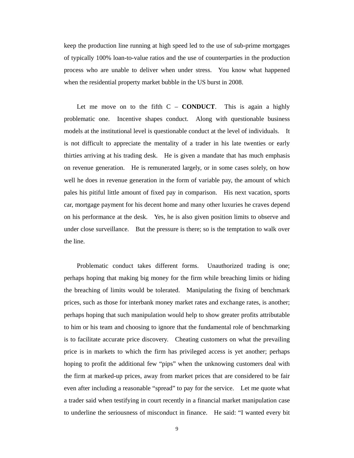keep the production line running at high speed led to the use of sub-prime mortgages of typically 100% loan-to-value ratios and the use of counterparties in the production process who are unable to deliver when under stress. You know what happened when the residential property market bubble in the US burst in 2008.

Let me move on to the fifth  $C - \text{CONDUCT}$ . This is again a highly problematic one. Incentive shapes conduct. Along with questionable business models at the institutional level is questionable conduct at the level of individuals. It is not difficult to appreciate the mentality of a trader in his late twenties or early thirties arriving at his trading desk. He is given a mandate that has much emphasis on revenue generation. He is remunerated largely, or in some cases solely, on how well he does in revenue generation in the form of variable pay, the amount of which pales his pitiful little amount of fixed pay in comparison. His next vacation, sports car, mortgage payment for his decent home and many other luxuries he craves depend on his performance at the desk. Yes, he is also given position limits to observe and under close surveillance. But the pressure is there; so is the temptation to walk over the line.

Problematic conduct takes different forms. Unauthorized trading is one; perhaps hoping that making big money for the firm while breaching limits or hiding the breaching of limits would be tolerated. Manipulating the fixing of benchmark prices, such as those for interbank money market rates and exchange rates, is another; perhaps hoping that such manipulation would help to show greater profits attributable to him or his team and choosing to ignore that the fundamental role of benchmarking is to facilitate accurate price discovery. Cheating customers on what the prevailing price is in markets to which the firm has privileged access is yet another; perhaps hoping to profit the additional few "pips" when the unknowing customers deal with the firm at marked-up prices, away from market prices that are considered to be fair even after including a reasonable "spread" to pay for the service. Let me quote what a trader said when testifying in court recently in a financial market manipulation case to underline the seriousness of misconduct in finance. He said: "I wanted every bit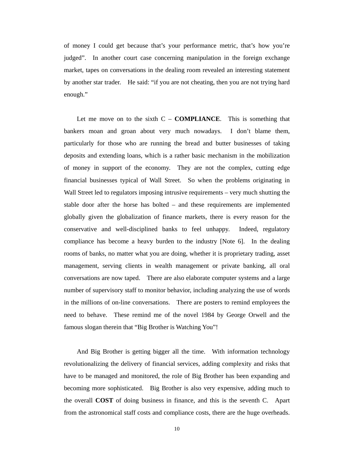of money I could get because that's your performance metric, that's how you're judged". In another court case concerning manipulation in the foreign exchange market, tapes on conversations in the dealing room revealed an interesting statement by another star trader. He said: "if you are not cheating, then you are not trying hard enough."

Let me move on to the sixth  $C - COMPLIANCE$ . This is something that bankers moan and groan about very much nowadays. I don't blame them, particularly for those who are running the bread and butter businesses of taking deposits and extending loans, which is a rather basic mechanism in the mobilization of money in support of the economy. They are not the complex, cutting edge financial businesses typical of Wall Street. So when the problems originating in Wall Street led to regulators imposing intrusive requirements – very much shutting the stable door after the horse has bolted – and these requirements are implemented globally given the globalization of finance markets, there is every reason for the conservative and well-disciplined banks to feel unhappy. Indeed, regulatory compliance has become a heavy burden to the industry [Note 6]. In the dealing rooms of banks, no matter what you are doing, whether it is proprietary trading, asset management, serving clients in wealth management or private banking, all oral conversations are now taped. There are also elaborate computer systems and a large number of supervisory staff to monitor behavior, including analyzing the use of words in the millions of on-line conversations. There are posters to remind employees the need to behave. These remind me of the novel 1984 by George Orwell and the famous slogan therein that "Big Brother is Watching You"!

And Big Brother is getting bigger all the time. With information technology revolutionalizing the delivery of financial services, adding complexity and risks that have to be managed and monitored, the role of Big Brother has been expanding and becoming more sophisticated. Big Brother is also very expensive, adding much to the overall **COST** of doing business in finance, and this is the seventh C. Apart from the astronomical staff costs and compliance costs, there are the huge overheads.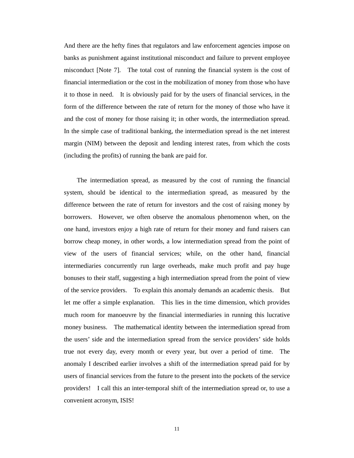And there are the hefty fines that regulators and law enforcement agencies impose on banks as punishment against institutional misconduct and failure to prevent employee misconduct [Note 7]. The total cost of running the financial system is the cost of financial intermediation or the cost in the mobilization of money from those who have it to those in need. It is obviously paid for by the users of financial services, in the form of the difference between the rate of return for the money of those who have it and the cost of money for those raising it; in other words, the intermediation spread. In the simple case of traditional banking, the intermediation spread is the net interest margin (NIM) between the deposit and lending interest rates, from which the costs (including the profits) of running the bank are paid for.

The intermediation spread, as measured by the cost of running the financial system, should be identical to the intermediation spread, as measured by the difference between the rate of return for investors and the cost of raising money by borrowers. However, we often observe the anomalous phenomenon when, on the one hand, investors enjoy a high rate of return for their money and fund raisers can borrow cheap money, in other words, a low intermediation spread from the point of view of the users of financial services; while, on the other hand, financial intermediaries concurrently run large overheads, make much profit and pay huge bonuses to their staff, suggesting a high intermediation spread from the point of view of the service providers. To explain this anomaly demands an academic thesis. But let me offer a simple explanation. This lies in the time dimension, which provides much room for manoeuvre by the financial intermediaries in running this lucrative money business. The mathematical identity between the intermediation spread from the users' side and the intermediation spread from the service providers' side holds true not every day, every month or every year, but over a period of time. The anomaly I described earlier involves a shift of the intermediation spread paid for by users of financial services from the future to the present into the pockets of the service providers! I call this an inter-temporal shift of the intermediation spread or, to use a convenient acronym, ISIS!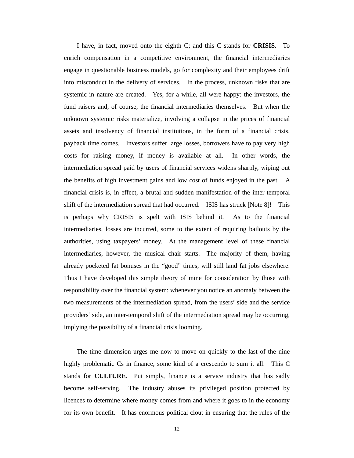I have, in fact, moved onto the eighth C; and this C stands for **CRISIS**. To enrich compensation in a competitive environment, the financial intermediaries engage in questionable business models, go for complexity and their employees drift into misconduct in the delivery of services. In the process, unknown risks that are systemic in nature are created. Yes, for a while, all were happy: the investors, the fund raisers and, of course, the financial intermediaries themselves. But when the unknown systemic risks materialize, involving a collapse in the prices of financial assets and insolvency of financial institutions, in the form of a financial crisis, payback time comes. Investors suffer large losses, borrowers have to pay very high costs for raising money, if money is available at all. In other words, the intermediation spread paid by users of financial services widens sharply, wiping out the benefits of high investment gains and low cost of funds enjoyed in the past. A financial crisis is, in effect, a brutal and sudden manifestation of the inter-temporal shift of the intermediation spread that had occurred. ISIS has struck [Note 8]! This is perhaps why CRISIS is spelt with ISIS behind it. As to the financial intermediaries, losses are incurred, some to the extent of requiring bailouts by the authorities, using taxpayers' money. At the management level of these financial intermediaries, however, the musical chair starts. The majority of them, having already pocketed fat bonuses in the "good" times, will still land fat jobs elsewhere. Thus I have developed this simple theory of mine for consideration by those with responsibility over the financial system: whenever you notice an anomaly between the two measurements of the intermediation spread, from the users' side and the service providers' side, an inter-temporal shift of the intermediation spread may be occurring, implying the possibility of a financial crisis looming.

The time dimension urges me now to move on quickly to the last of the nine highly problematic Cs in finance, some kind of a crescendo to sum it all. This C stands for **CULTURE**. Put simply, finance is a service industry that has sadly become self-serving. The industry abuses its privileged position protected by licences to determine where money comes from and where it goes to in the economy for its own benefit. It has enormous political clout in ensuring that the rules of the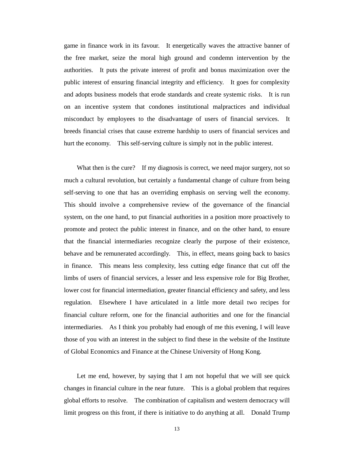game in finance work in its favour. It energetically waves the attractive banner of the free market, seize the moral high ground and condemn intervention by the authorities. It puts the private interest of profit and bonus maximization over the public interest of ensuring financial integrity and efficiency. It goes for complexity and adopts business models that erode standards and create systemic risks. It is run on an incentive system that condones institutional malpractices and individual misconduct by employees to the disadvantage of users of financial services. It breeds financial crises that cause extreme hardship to users of financial services and hurt the economy. This self-serving culture is simply not in the public interest.

What then is the cure? If my diagnosis is correct, we need major surgery, not so much a cultural revolution, but certainly a fundamental change of culture from being self-serving to one that has an overriding emphasis on serving well the economy. This should involve a comprehensive review of the governance of the financial system, on the one hand, to put financial authorities in a position more proactively to promote and protect the public interest in finance, and on the other hand, to ensure that the financial intermediaries recognize clearly the purpose of their existence, behave and be remunerated accordingly. This, in effect, means going back to basics in finance. This means less complexity, less cutting edge finance that cut off the limbs of users of financial services, a lesser and less expensive role for Big Brother, lower cost for financial intermediation, greater financial efficiency and safety, and less regulation. Elsewhere I have articulated in a little more detail two recipes for financial culture reform, one for the financial authorities and one for the financial intermediaries. As I think you probably had enough of me this evening, I will leave those of you with an interest in the subject to find these in the website of the Institute of Global Economics and Finance at the Chinese University of Hong Kong.

Let me end, however, by saying that I am not hopeful that we will see quick changes in financial culture in the near future. This is a global problem that requires global efforts to resolve. The combination of capitalism and western democracy will limit progress on this front, if there is initiative to do anything at all. Donald Trump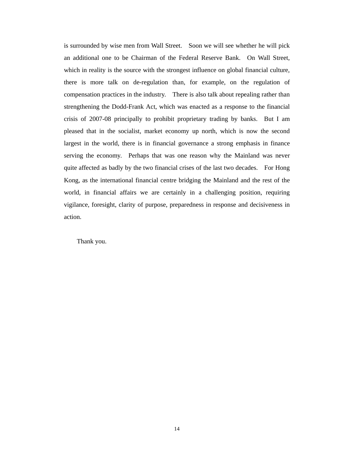is surrounded by wise men from Wall Street. Soon we will see whether he will pick an additional one to be Chairman of the Federal Reserve Bank. On Wall Street, which in reality is the source with the strongest influence on global financial culture, there is more talk on de-regulation than, for example, on the regulation of compensation practices in the industry. There is also talk about repealing rather than strengthening the Dodd-Frank Act, which was enacted as a response to the financial crisis of 2007-08 principally to prohibit proprietary trading by banks. But I am pleased that in the socialist, market economy up north, which is now the second largest in the world, there is in financial governance a strong emphasis in finance serving the economy. Perhaps that was one reason why the Mainland was never quite affected as badly by the two financial crises of the last two decades. For Hong Kong, as the international financial centre bridging the Mainland and the rest of the world, in financial affairs we are certainly in a challenging position, requiring vigilance, foresight, clarity of purpose, preparedness in response and decisiveness in action.

Thank you.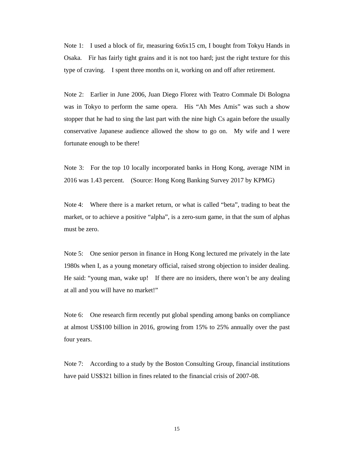Note 1: I used a block of fir, measuring 6x6x15 cm, I bought from Tokyu Hands in Osaka. Fir has fairly tight grains and it is not too hard; just the right texture for this type of craving. I spent three months on it, working on and off after retirement.

Note 2: Earlier in June 2006, Juan Diego Florez with Teatro Commale Di Bologna was in Tokyo to perform the same opera. His "Ah Mes Amis" was such a show stopper that he had to sing the last part with the nine high Cs again before the usually conservative Japanese audience allowed the show to go on. My wife and I were fortunate enough to be there!

Note 3: For the top 10 locally incorporated banks in Hong Kong, average NIM in 2016 was 1.43 percent. (Source: Hong Kong Banking Survey 2017 by KPMG)

Note 4: Where there is a market return, or what is called "beta", trading to beat the market, or to achieve a positive "alpha", is a zero-sum game, in that the sum of alphas must be zero.

Note 5: One senior person in finance in Hong Kong lectured me privately in the late 1980s when I, as a young monetary official, raised strong objection to insider dealing. He said: "young man, wake up! If there are no insiders, there won't be any dealing at all and you will have no market!"

Note 6: One research firm recently put global spending among banks on compliance at almost US\$100 billion in 2016, growing from 15% to 25% annually over the past four years.

Note 7: According to a study by the Boston Consulting Group, financial institutions have paid US\$321 billion in fines related to the financial crisis of 2007-08.